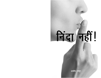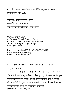मुद्रण और वितरण: ऑल पीपल्स चर्च एवं विशव ससमाचार सम्पर्क. बंगलोर प्रथम संस्करण मार्च 2016

अनवादक: डॉर्थी शरदकान्त थॉमस प्रुफ रीडिंग: शरदकान्त थॉमस मख पष्ठ एवं ग्राफिक डिज़ाइन: बिजो थॉमस

Contact Information: All Peoples Church & World Outreach #319, 2nd Floor, 7th Main,HRBR Layout 2nd Block, Kalyan Nagar, Bangalore Karnataka, India

Phone: +91-80-25452617 / +91-80-65970617 Email: contact@apcwo.org Website: www.apcwo.org

इस्तेमाल किए गए बाइबल के संदर्भ पवित्र बाइबल से लिए गए हैं।

निशल्क वितरण हेत

इस पुस्तक का विनामूल्य वितरण ऑल पीपल्स चर्च के सदस्यों , सहयोगियों और मित्रों के आर्थिक अनदानों के द्वरा संभव हुआ है। यदि आपने इस निःशल्क पस्तक के द्वारा आशीष पाई है . तो हम आपको निमंत्रित करते हैं कि ऑल पीपल्स चर्च की निःशुल्क प्रकाशन सामग्री की छपाई और वितरण में सहायता करने हेत आर्थिक रूप से हमें योगदान दें. धन्यवाद ! (Hindi Book— Shhh! No gossip!)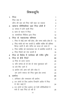# विषयसूचि

| 1 <sup>1</sup> | निंदा                                                                                | 1              |
|----------------|--------------------------------------------------------------------------------------|----------------|
|                | निंदा क्या है                                                                        | $\overline{2}$ |
|                | कौन–सी बात को निंदा नहीं कहा जा सकता                                                 | 3              |
| 2 <sub>1</sub> | सामान्य परिस्थितियां जहां निंदा होती है                                              | $\overline{7}$ |
|                | अ. समाज में होने वाली निंदा                                                          | $\overline{7}$ |
|                | ब. काम के स्थान में निंदा                                                            | 11             |
|                | क. सामाजिक मिडिया द्वारा निंदा                                                       | 12             |
| $3-$           | निंदा के नकारात्मक परिणाम                                                            | 13             |
|                | 1. निंदा से कोई लाभ नहीं होता, और समय बर्बाद होता है                                 | 13             |
|                | 2. निंदा भरोसे को नष्ट करती है, क्योंकि व्यक्ति की प्रतिष्ठा                         |                |
|                | बिगड जाती है और चरित्र का कत्ल हो जाता है                                            | 13             |
|                | 3. निंदा व्यक्ति को भावनात्मक रूप से प्रभावित करती है                                | 14             |
|                | 4. निंदा रिश्तों को नष्ट करती है                                                     | 15             |
| 4              | निंदा के विरोध में परमेश्वर की गंभीर दृष्टि                                          | 17             |
| $5-$           | निंदा से कैसे निपटें                                                                 | 20             |
|                | अ निंदा के ऊपर उठना                                                                  | 20             |
|                | ब. यदि सम्भव हो तो प्रेम के साथ मुकाबला करें                                         | 21             |
|                | क उसे मिट जाने दें                                                                   | 22             |
|                | ड. प्रार्थना करें, क्षमा करें और छोड दें                                             | 22             |
|                | हम अपने समाज को निंदा मुक्त क्षेत्र बनाएं                                            | 23             |
| 6.             | प्रार्थना                                                                            | 24             |
|                | 1. अंगीकार और पश्चाताप की प्रार्थना                                                  | 24             |
|                | 2. उन लोगों के लिए प्रार्थना जिन्होंने अतीत में निंदा                                |                |
|                |                                                                                      |                |
|                | से चोट खाई है                                                                        | 24             |
|                | 3. उन लोगों के लिए प्रार्थना जो ऐसी परिस्थितियों में<br>फंसे है जहां निंदा हो रही है | 25             |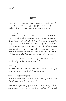# 1

# निदा

बाइबल में, भजन 15 जो कि दाऊद का भजन है, उस व्यक्ति का वर्णन करता है जो परमेश्वर के साथ वार्तालाप कर सकता है, उसकी उपस्थिति में रहता है और परमेश्वर की आराधना करता है।

भजन 15:1-5

'हे परमेश्वर तेरे तम्बू में कौन रहेगा? तेरे पवित्र पर्वत पर कौन बसने पाएगा? 'वह जो खराई से चलता और धर्म के काम करता है. और हृदय से सच बोलता है; 3जो अपनी जीभ से निन्दा नहीं करता और न अपने मित्र की बुराई करता, और न अपने पड़ोसी की निन्दा सुनता है; 'वह जिसकी दृष्टि में निकम्मा मनुष्य तुच्छ है, और जो यहोवा के डरवैयों का आदर करता हैं, जो शपथ खाकर बदलता नहीं चाहे हानि उठाना पड़े; 5जो अपना रुपया ब्याज पर नहीं देता और निर्दोष की हानि करने के लिये घुस नहीं लेता है। जो कोई ऐसी चाल चलता है वह कभी न डगमगाएगा।

इस भजन में, ऐसे व्यक्ति व्यक्ति की कई विशेषताओं पर जोर दिया गया है, परंतू हम तीसरे वचन पर ध्यान देंगे :

<u>भजन 15:3</u>

जो अपनी जीभ से निन्दा नहीं करता और न अपने मित्र की बुराई करता, और न अपने पड़ोसी की निन्दा सूनता है।

भजन 15:3 (न्यू लिविंग अनुवाद) जो लोग निन्दा करने से या अपने पड़ोसी को हानि पहुंचाने से या अपने मित्र की बुराई करने से इन्कार करते हैं।

निंदा, चुगली, दूसरों की बुराई करना उन पापों में से एक है, जिन्हें हम अक्सर हल्का जानते हैं, परंतु वास्तव में उनसे परमेश्वर के साथ हमारे

1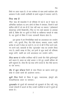रिश्ते पर असर पड़ता है। ये पाप परमेश्वर के साथ हमारे वार्तालाप और आराधना में और उसकी उपस्थिति के हमारे अनुभव में रुकावट लाते हैं।

# निंदा क्या है

'निंदा' शब्द की शब्दकोश में जो परिभाषा दी गई है, वह है "सहज या अनियंत्रित वार्तालाप या अन्य लोगों के विषय में समाचार. जिसमें वे बातें शामिल होती हैं जो सच ही हैं, ऐसा नहीं कहा जा सकता।" (ऑक्सफर्ड अँडवान्सड लर्नर्स डिक्शनरी)। निंदा या गप्प व्यर्थ बकवास या अफवाह होती है, विशेष तौर पर दूसरों के निजी या व्यक्तिगत मामलों के संबंध में। यह दूसरों के विषय में गलत जानकारी फैलाना होता है।

इस पुस्तक में हम निम्नलिखित शब्दों का अदलबदल कर उपयोग करेंगे : गप्प, चुगली, निंदा, पीठ पीछे बोलना, कबवाद, प्रलाप, यद्यपि प्रत्येक के अर्थ में थोड़ा सा फर्क है। एन के जे व्ही में निंदा करने वाले, गप करने वाले, बकवादी के लिए 'चुगलखोर' शब्द का उपयोग किया गया है। हमारी समझ के लिए, हम इनमें से कूछ शब्दों की परिभाषा प्रस्तुत करेंगे, यद्यपि हम उन्हें अदलबदल कर उपयोग करेंगे।

निंदा करना जो व्यक्ति उपस्थित नहीं है उसके पीठ पीछे दुर्भावनापूर्ण बातें कहना है; बचाव का कोई अवसर न देते हुए उसकी प्रतिष्ठा को हानि पहुंचाना है। जैसा कि यह शब्द वर्णन करता है, पीठ पीछे काटना या दंश करना।

पीठ में छूरा भोंकना किसी के साथ मित्रता का बहाना बनाते हुए धोखे से उसके कामों की आलोचना करना।

झूठी निंदा किसी के विषय में झूठा, नकारात्मक, द्वेषपूर्ण और मानहानिकारक बयान या समाचार।

**चुगलखोर** जो दूसरों की समस्याओं को सुलझाने के लिए नहीं, परंतु उनको परेशानी में डालने के लिए उनकी गलतियों के बारें में दूसरों को बताता है।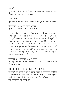पुराने नियम में उसके लोगों के मध्य सामुदायिक जीवन के संबंध निर्देश देते समय. परमेश्वर ने कहा:

निर्गमन 23:1 झूठी बात न फैलाना। अन्यायी साक्षी होकर दृष्ट का साथ न देना।

लैव्यव्यवस्था 19:16अ (न्यू लिविंग अनुवाद) लतरा बनकर अपने लोगों में न फिरा करना।

दुभार्ग्यवश, कुछ ही लोग निंदा या चुगलखोरी का आनंद उठाते हैं और इस कारण उसमें मशगुल रहते हैं। कूछ लोगों के लिए दूसरों की बुराई करना 'स्वादिष्ट भोजन' के समान होता है। वे दुसरों की निंदा करने और उसके विषय में बातें करने से आनंदित होते हैं। उन्हें लगता है कि एक घंटा या उससे अधिक समय बुराई करने में बिताने के बाद, वे सन्तुष्ट हो गए हैं। अफवाहें व्यक्ति के हृदय में डूब जाती है। हम सोचते हैं कि यह बस थोड़ी हृदय को हल्का करने वाली बाद है जो कोई मायने नहीं रखती। परंतु जिस बात के विषय में निंदा की गई है. उसका असर लोगों पर होता है।

नीतिवचन 18:8 (नीतिवचन 26:22 के समान) कानाफ़सी करनेवाले के वचन स्वादिष्ट भोजन की नाई लगते हैं; वे पेट में पच जाते हैं।

# कौनसी बात को निंदा नहीं कहा जा सकता

कभी कभी हमें दूसरों के बारे में बोलना पड़ता है, उनके गुणों के विषय में, कमजोरियों के विषय में बोलना पडता है। परंतु, यदि अच्छे उददेश्य से और बिना ईर्ष्या के किया जाए, तो इन्हें निंदा नहीं कहा जा सकता। कूछ उदाहरणों पर विचार करें।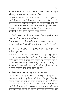# 1. बिना किसी को नीचा दिखाए उसके विषय में सहज बोलना ⁄ उसके बारे में जानकारी देना

उदाहरण के तौर पर, आप किसी के साथ मिलने का अनुभव बांट सकते हैं और बता सकते हैं कि आपका समय अच्छा बिता या नहीं, उस मुलाकात का परिणाम सकारात्मक था या नकारात्मक और आप उससे संबंधित अन्य बातों के विषय में चर्चा करते हैं। ऐसी परिस्थितियों में, आप किसी भी व्यक्ति को नीचा दिखाने का उद्देश्य न रखते हुए ईमानदारी के साथ अपना मूल्यांकन प्रस्तुत करते हैं।

# 2. किसी अनुभव के विषय में बताना जिसमें दूसरे ने क्या कहा या किया यह बताना शामिल है

फिर से, यहां पर आप विस्तारपूर्वक बातें कह सकते हैं, परंतु यह आप उसमें सहभागी लोगों को हानि पहुंचाने के उद्देश्य से नहीं करते।

# 3. व्यक्ति या परिस्थिति का मूल्यांकन या किसी अनुभव का पेशेवर मूल्यांकन

कार्यस्थल की परिस्थितियों में ऐसा नियमित रूप से होता है। उदाहरण के तौर पर, जब आप किसी उम्मीदवार के साक्षात्कार के विषय में रिपोर्ट प्रस्तुत करते हैं, उसके कार्य संपादन का मूल्यांकन करते हैं; मुश्किल परिस्थिति का हल निकालते हैं, आदि। इन संदर्भों में, आप ईमानदारी के साथ बल और कमज़ोरी की, भले और बूरे की चर्चा करते हैं, ताकि वास्तविक चित्र प्रस्तुत किया जा सके।

# 4. किसी मामले का हल ढूंढ़ने का प्रयास करना

ऐसी परिस्थितियों में जहां पर संघर्ष या समस्याएं रही हैं, वहां हम उन घटनाओं और बातों का पुनर्रीक्षण करते हैं जो घटित हुई ताकि उचित निष्कर्ष निकाला जा सके या अगली कार्यवाही के लिए सही निर्णय लिया जा सके। पवित्र शास्त्र हमें ये निर्देश देता है: "यदि तेरा भाई तेरे विरोध में अपराध करे. तो अकेले में जाकर उससे बातचीत करके उसे समझा। यदि वह तेरी सूने, तो तू ने अपने भाई को पा लिया। "और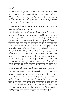यदि वह न सूने, तो एक या दो व्यक्तियों को अपने साथ ले जा, ताकि हर एक बात दो या तीन गवाहों के मुंह से ठहराई जाए। "और यदि वह उनकी भी न माने, तो कलीसिया से कह दे, परन्तु यदि वह कलीसिया की भी न माने, तो तु उसे अन्यजाति और महसूल लेनेवाले के समान जान।" (मत्ती 18:15–17)

# 5. जब हम ऐसे मामले को संबोधित करते हैं जहां पर गलत काम या नैतिक पतन होता है

ऐसी परिस्थितियों में, हमें निश्चित रूप से उन सारे लोगों के साथ जो उसमें सहभागी होते हैं, संबंधित मामले को संबोधित करना पड़ता है, जो गलत हुआ उसके विषय में बोलना पड़ता है और सुधार एवं पुनर्स्थापन का प्रयास करना पड़ता है। जो गलत हुआ उसे छिपाने का हम प्रयास नहीं करते, परंतु हम उस मामले को वैसे ही संबोधित करते हैं जैसे गलातियों की पत्री 6:1 में बताया गया है: "हे *भाइयो, यदि कोई* मनुष्य किसी अपराध में पकड़ा भी जाए, तो तुम जो आत्मिक हो, नम्रता के साथ ऐसे को संभालो, और अपनी भी चौकसी रखो कि तुम भी परीक्षा में न पड़ो।" पाप और गलत काम को कबूल करना होगा और उसके लिए पश्चाताप करना होगा, जैसा कि याकूब 5:16 में बताया गया है : "इसलिए तुम आपस में एक दूसरे के सामने अपने अपने पापों को मान लो; और एक दूसरे के लिए प्रार्थना करो, जिससे चंगे हो जाओ; धर्मी जन की प्रार्थना के प्रभाव से बहुत कुछ हो सकता है।"

6. गलत काम को उजागर करते समय ताकि लोग गुमराह न हों ऐसा समय हो सकता है जब हमें सार्वजनिक तौर पर चिंताजनक विषयों को संबोधित करना पड़ता है और गलत काम और गलत काम करने वालों को उजागर करना पड़ता है। हम ऐसा चेतावनी के उद्देश्य से और दूसरों को बचाने के लिए करते हैं ताकि वे हानि और खतरे से बच सकें। हमारे हृदय गलत करने वालों के प्रति दया और तरस से भरे हैं, फिर भी हम दूसरों की भलाई के लिए उनके गलत कामों को उजागर करते हैं। "और अन्धकार के निष्फल कामों में सहभागी न हो, वरन् उन पर उलाहना दो" (इफिसियों 5:11)।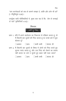निंदा

उपर्युक्त सारी परिस्थितियों में, मुख्य बात यह है कि, "प्रेम से सच्चाई से चलें" (इफिसियों 4:15)।



प्रश्न 1. यदि मैं अपने वार्तालाप का निकटता से परिक्षण करता हूं, तो मैं कितनी बार दूसरों की निंदा करता हूं या उनके बारे में बूरा बोलता हं?

> □कभी कभी □शायद ही  $\Box$ अक्सर  $\Box$ प्रायः

प्रश्न 2. मैं कितनी बार दूसरों के विषय में लोगों को निंदा करते हुए सुनना पसंद करता हूं, और उस निंदा को रोकने का प्रयास नहीं करता या उसे न सूनते हुए बाहर नहीं चला जाता? □प्रायः □कभी कभी □शायद ही  $\Box$ अक्सर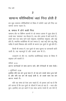# सामान्य परिस्थितिया जहां निंदा होती है

हम कुछ सामान्य परिस्थितियों के विषय में सोचेंगे जहां हमें निंदा का सामना करना पडता है।

# असमाज में होने वाली निंदा

सामान्य तौर पर विभिन्न कारणों से जो समाज आपस में जूड़ा होता है, उनके मध्य 'समाचार' तब फैलता है। जब लोग आपस में बातें करते हैं। हमारे पास एक साथ रहने वाले समुदाय, सामाजिक समुदाय, और कई होते हैं। स्थानीय कलीसिया भी एक समाज है, जहां कई लोग प्रभु यीशू मसीह में हमारे विश्वास और संगति के कारण एक दूसरे से जुड़े होते हैं।

किसी भी समाज में, एक दूसरे के साथ सूचना या जानकारी बांटी जाती है। यह महत्वपूर्ण है और उसके लाभ भी है।

उदाहरण के तौर पर, स्थानीय कलीसियाई समाज के विषय में बाइबल हमें बताती है:

रोमियों 12:15

आनन्द करनेवालों के साथ आनन्द करो, और रोनेवालों के साथ रोओ।

1 कूरिन्थियों 12:26 इसलिए यदि एक अंग दुःख पाता है, तो सब अंग उसके साथ दुःख पाते हैं; और यदि एक अंग की बडाई होती है, तो उसके साथ सब अंग आनन्द मनाते हैं।

यदि यह संभव हो ऐसा आप चाहते हैं, तो इसका अर्थ यह है कि हमें जानना है कि एक दूसरे के जीवनों में क्या हो रहा है – भला और बुरा। इसलिए हम इन बातों में एक साथ आनंद मनाते हैं, हम रोते हैं,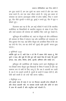सामान्य परिस्थितियां जहां निंदा होती है

हम दुख उठाते हैं, हम एक दूसरे का आदर करते हैं और एक साथ यात्रा करते हैं। हम एक साथ जीवन बांटते हैं। परंतु इस प्रकार के समाचार का बांटना आदरयुक्त तरीके से होना चाहिए, निंदा न करते हुए, पीठ पीछे चुगली न करते हुए, बुराई न करते हुए, पीठ में छूरा न भोंकते हुए।

दिलचस्प बात यह है कि, हम कई पत्रियों में पाते हैं कि स्थानीय कलीसिया या विश्वासियों के स्थानीय समुदाय के संबंध में हम निंदा और व्यर्थ बकवाद की समस्या को संबोधित किए जाते हुए देखते हैं।

कुरिन्थूस की कलीसिया को, जहां पर पौलुस को यौन अनैतिकता की समस्या के विषय में बोलना पड़ा और कलीसिया को पश्चाताप के लिए बुलावा देना पड़ा, वहां प्रेरित पौलुस को अत्यधिक चिंता है कि जब वह उन्हें भेंट देगा, तब वह लोगों को "बुराई और चुगली" करता हुआ पाएगा।

2 कुरिन्थियों 12:20

क्योंकि मुझे डर है, कही ऐसा न हो कि मैं आकर जैसे चाहता हूं, वैसे तुम्हें न पाऊं; और मुझे भी जैसे तुम नहीं चाहते वैसा ही पाओ, कि तुममें झगडा, डाह, क्रोध, विरोध, ईर्ष्या, चुगली, अभिमान और बखेड़े हो।

इफिसूस की कलीसिया की देखरेख करने वाले तीमुथियुस को पत्र लिखते समय पौलूस युवा विधवाओं के विषय में बताता है और यह सामान्य रूप से सभी के लिए लागू है, कि जब वे आलसी बन जाती है, तब वे गप लड़ाने लगती है, दूसरों के कामों में दखल देती है, और ऐसी बातें करती है जो उन्हें नहीं करना चाहिए।

1 तीमुथियुस 5:13

और इसके साथ ही साथ वे घर घर फिरकर आलसी होना सीखती हैं, और केवल आलसी नहीं. पर बकबक करती रहती और औरों के काम में हाथ भी डालती हैं और अनूचित बातें बोलती हैं।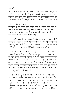उसी तरह थिरसलुनीकियों के विश्वासियों को लिखते समय पौलुस उन लोगों को उलाहना देता है जो दूसरों के कामों में दखल देते हैं, बकबक करते हैं। इसमें अन्य लोगों की निंदा करना और उनके विषय में भली बुरी बातें कहना शामिल है। पौलूस इन लोगों से कहता है कि वे काम करें।

### 2 थिस्सलूनीकियों 3:11,12

हम सुनते हैं कि कितने लोग तुम्हारे बीच में अनुचित चाल चलते हैं; और कुछ काम नहीं करते, परंतु औरों के काम में हाथ डाला करते हैं। ऐसों को हम प्रभू यीशू मसीह में आज्ञा देते और समझाते हैं, कि चुपचाप काम करके अपनी ही रोटी खाया करें।

स्थानीय कलीसियाई समुदायों में, निंदा एक तरह से आत्मिक रीति से होती है। मंडली के सदस्य और कलीसिया के अगुवे (अर्थात पासबान, आदि भी) निंदा करते हैं और अफवाह फैलाते हैं। यहां पर कूछ तरीके .<br>हैं जिससे निंदा स्थानीय कलीसियाई समुदायों में फैलती है :

1. प्रार्थना निवेदन : वार्तालाप इस प्रकार के अत्यंत आत्मिक बयानों से आरंभ होता है : "ओह, हमें सचमुच फलाना फलाना व्यक्ति के लिए प्रार्थना करने की जरूरत है।" और बाकी का वार्तालाप उस व्यक्ति के विषय में सारी घिनौनी बातें और निंदा होती है, और उसका अंत "इस बात को प्रार्थना में रखें" जैसी बातों से होता है। हम इस प्रार्थना निवेदन का उपयोग जिसे वास्तव में निंदा कहा जा सकता है उसे छिपाने के मोहरे के रूप में करते हैं। इसे बंद होना चाहिए। हम इससे दूर रहने का फैसला करें।

2. पासबान द्वारा परामर्श और मेन्टरिंग : पासबान और आत्मिक अगूवों के रूप में लोग हमारे पास आत्मिक सहायता पाने आते हैं : ऐसा करते समय, अक्सर वे अपने व्यक्तिगत संघर्ष, असफताओं और अन्य बातों को बांटते हैं, जो वे दूसरों के साथ अक्सर नहीं कर सकते। ऐसा वे विश्वास और पूर्ण भरोसे के साथ करते हैं। परंतू, कई पासबान और आत्मिक अगूवे अपने हमेशा के वार्तालाप में उस व्यक्ति के विषय में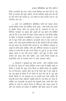सामान्य परिस्थितियां जहां निंदा होती है

निजी जानकारी को प्रगट करके उनके विश्वास को तोड़ देते हैं। यह निंदा के अलावा और कुछ नहीं है, भले ही आत्मिक अगुवे द्वारा की गई है! इसे रोकने की जरूरत है। जो भरोसे के साथ बताया गया है, वह गोपनीय बना रहे।

3. कोट टेल असोशिएशन (प्रतिष्ठित लोगों को सहारा लेकर अपनी प्रतिष्ठा बनाने की कोशिश करने वाले) : कभी कभी लोग अपने से अधिक सफल लोगों का सहारा लेते हैं उदाहरण के तौर पर सिनियर पासबान या अगूवा और दूसरों को यह बताने की कोशिश करते हैं कि वे ऐसे लोगों से निकट संबंध रखते हैं। ऐसे किसी व्यक्ति के विषय में जिसकी उपलब्धियों का सहारा वे लेना चाहते हैं. उनके बारे में कूछ निजी और व्यक्तिगत जानकारी देकर वे ऐसा करते हैं। अर्थात, अन्य लोग इससे प्रभावित होते हैं और सोचते हैं कि यह व्यक्ति जो इस प्रकार की अंदरूनी बातें जानता है, उस सीनियर पासबान या अगुवे के करीब होना चाहिए। यदि आप सीनियर पासबान या अगुवे के वास्तव में सच्चे मित्र है और उनसे निकट से जुड़े हैं, तो आप उनका सहारा लेकर ये सब नहीं करना चाहेंगे। आप खुद के लिए उनके सम्मान को उधार लेना नहीं चाहेंगे। आप उनके निजी मामलों का सार्वजनिक रूप से उल्लेख करने से पहले सावधान रहेंगे।

4. समस्याएं न सूलझाते हुए दोष लगाना : लोग गलतियां करते हैं। फिर भी, समाज में, संघर्ष इसलिए उत्पन्न होते हैं क्योंकि कही पर किसी ने गलती की, कूछ गलत किया या किसी मामले को अनुचित रूप से निपटाया। अक्सर होता यह है कि जिस पक्ष ने चोट खाई है, वह उस बुराई के विषय में जो लोगों के साथ की गई है, यहां वहां बोलते फिरता है, जो अप्रत्यक्ष रूप से गलती करने वाले व्यक्ति की बदनामी करने वाला अभियान साबित होता है। वह निंदा बन जाता है. क्योंकि उस जानकारी को दूसरों तक पहुंचाते समय उसमें और लोग शामिल हो जाते हैं। इससे समाज में विभाजन और कलह बढता है, और उस समस्या को वास्तव में संबोधित नहीं किया जाता या उसका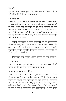हल नहीं किया जाता। दुसरी ओर, पवित्रशास्त्र हमें सिखाता है कि ऐसी परिस्थितियों में क्या किया जाना चाहिए:

मत्ती 18:15-17

15"यदि तेरा भाई तेरे विरोध में अपराध करे, तो अकेले में जाकर उससे बातचीत करके उसे समझा। यदि वह तेरी सूने, तो तू ने अपने भाई को पा लिया। <sup>16</sup> और यदि वह न सूने, तो एक या दो व्यक्तियों को अपने साथ ले जा, ताकि हर एक बात दो या तीन गवाहों के मुंह से ठहराई जाए। <sup>17</sup> और यदि वह उनकी भी न माने, तो कलीसिया से कह दे, परन्तू यदि वह कलीसिया की भी न माने, तो तु उसे अन्यजाति और महसुल लेनेवाले के समान जान।

समस्या को सुलझाने के बजाए सार्वजनिक तौर पर, लोगों के दोष दिखाने के बजाए, हमें पवित्र शास्त्र के अनुसार चलना चाहिए और क्षमा, सुधार और चंगाई लाने का प्रयास करना चाहिए। स्थानीय कलीसियाई समुदाय के संदर्भ में कहीं गई कई बातें अन्य समुदायों को भी लाग की जा सकती हैं।

निंदा करने वाला समुदाय अन्ततः खुद ही का नाश करता है।

गलातियों 5:15

परंतु यदि तुम एक दूसरे को दांत से काटते और फाड़ खाते हो, तो चौकस रहो कि एक दूसरे का सत्यानाश न कर दो।

## ब काम के स्थान पर निंदा

हममें से कई लोग अपने जीवन का मुख्य भाग कार्यस्थल पर बिताते हैं। हम सप्ताह के पांच से छः दिन काम पर होते हैं, और हर सप्ताह हमारा एक चौथाई समय कार्यस्थल पर व्यय करते हैं। दुर्भाग्यवश, काम के स्थान पर कई लोग निंदा, चुगली, बुराई, पीठ में छूरा भोपना आदि बातों में लगे रहते हैं। ऐसा वे अपने बॉस, साथियों, या उन लोगों के विषय में करते हैं जिनके साथ उन्हें काम करना है। वे निंदा में लगे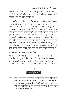सामान्य परिस्थितियां जहां निंदा होती है

रहते हैं. और अपने साथियों के साथ ऐसी किसी बात के विषय में बोलते हैं जो किसी और के द्वारा की गई है, और इस प्रकार उसकी प्रतिष्ठा आदि को आंच पहुंचाते हैं।

कार्यस्थल पर निंदा के परिणामस्वरूप कार्यस्थल का वातावरण अस्वस्थ हो जाता है। उससे लोगों पर भावनात्मक असर भी होता है और व्यक्तिगत या टीम की कार्यक्षमता में बाधा पड़ती है। अन्ततः कार्यस्थल का वातावरण इतना निंदनीय हो जाता है कि अक्सर अच्छे लोग उस स्थान को छोड़कर कही और नौकरी खोजने लगते हैं। वे इसलिए नहीं छोड़ते कि वहां का वेतन अच्छा नहीं था या काम उत्साहवर्धक नहीं था, परंतु अक्सर कार्यस्थल का वातावरण निंदा करने वाले और अफवाह फैलाने वाले कूछ लोगों के कारण निराशाजनक था। अच्छे लोग जो अपने काम पर ध्यान देना चाहते हैं, सचमुच अपना समय और बल निंदा से लड़ने में और अफवाह की आग बुझाने में नहीं खर्च करना चाहते। उनके पास करने के लिए बेहतर काम होते हैं।

# क सामाजिक मिडिया द्वारा निंदा

सामाजिक मिडिया या संचार माध्यम ने भी निंदा फैलाने में और तेजी से काम किया है। कूछ ही मिनिटों में, हानिकारक निंदा और अफवाह एक बटन के दबाते ही ऑनलाईन फैल जाती है। ऑनलाईन पोस्ट किए गए एक मात्र लेख के माध्यम से व्यक्ति की प्रतिष्ठा दांव पर लग जाती है।



प्रश्न : क्या आप समाज, कार्यस्थल या सामाजिक संचार माध्यम की निंदा का शिकार बने हैं? इससे आप कैसे प्रभावित हुए थे? आपने उसका मुकाबला कैसे किया? पीछे मुड़कर देखने पर क्या आप बता सकते हैं कि आप उस परिस्थिति से कैसे अलग रीति से निपट सकते थे?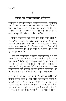# निंदा के नकारात्मक परिणाम

निंदा हिंसा के कुछ अन्य कामों के समान घिनौना अपराध नहीं दिखाई देता, फिर भी हम में से कई लोग उन गंभीर नकारात्मक परिणाम को नहीं पहचानते जो हम पर निंदा के द्वारा होता है। हमने पहले ही निंदा के कुछ नकारात्मक परिणामों को निवेदन किया है, और अब हम इस अध्याय में कूछ और परिणामों पर विचार करेंगे।

1. निंदा से कोई लाभ नहीं होता, और समय बर्बाद होता है। कभी कभी लोग निंदा में व्यस्त होकर घंटों बर्बाद कर देते हैं। इसलिए इसे व्यर्थ बकवाद कहा गया है। यह पूर्णरूप से लाभरहित है। इससे न केवल समय बर्बाद होता है. बल्कि अक्सर जो लोग निंदा करते हैं वे काफी भावनात्मक बल भी खर्च करते हैं और उसके अंत में थका हुआ महसूस करते हैं।

कभी कभी लोग चिकित्सा के तौर पर निंदा में लगे रहते हैं. वे अपने मन के बोझ को हलका करते हैं या अपनी भावनाओं को दूसरों के सामने व्यक्त करते हैं, विशेष तौर पर मूश्किल समयों से जाते समय। हम निश्चित रूप से अपनी चुनौतियों को बोलने और दूसरों के साथ बांटने से सहमत होते हैं, परंतू, हमें सही लोगों के साथ बात करना चाहिए और दूसरे व्यक्ति को हानि न पहुंचाते हुए स्वस्थ तरीके से करना चाहिए, और उस समस्या का हल निकालने के प्रयास में ऐसा करना चाहिए।

2. निंदा भरोसे को नष्ट करती है, क्योंकि व्यक्ति की प्रतिष्ठा बिगड जाती है और चरित्र का कत्ल हो जाता है। जिसकी निंदा होती है उसे खुद के बारे में समझाने का अवसर नहीं मिलता, उसका कत्ल होता है और उसकी प्रतिष्ठा नष्ट हो जाती है। एक क्षण में, जो लोग झूठी जानकारी सूनते हैं उस व्यक्ति के चरित्र के विषय में एक निष्कर्ष तक पहुंचते हैं, वे उस व्यक्ति के विषय में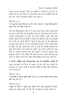### निंदा के नकारात्मक परिणाम

गलत मन बना सकते हैं और उस व्यक्ति पर भरोसा खो देते हैं। वह व्यक्ति कौन है इस विषय में गलत चित्र बना लेते हैं क्योंकि निंदा के द्वारा वह गलत जानकारी हासिल कर लेता है।

नीतिवचन 11:13

# 13जो लूतराई करता फिरता वह भेद प्रगट करता है, परन्तु विश्वासयोग्य मनष्य बात को छिपा रखता है।

यदि आप विश्वासयोग्य मित्र हैं तो आप अपने मित्र के पक्ष में खुड़े रहने का प्रयास करेंगे और उसे अपमानित करने या उसे बर्बाद करने के लिए उसकी असफलताओं का ढोल नहीं पीटते फिरेंगे। कभी कभी बड़ा आश्चर्य होता है कि हम किसी से पहली बार मिलते हैं और ऐसा दिखाई देता है कि वह आपके विषय में पहले ही सून चुका है और दुर्भाग्यवश जो कुछ उसने सुना है, वह सब नकारात्मक होता है। निंदा आपसे पहले ही पहुंच गई और आपके वहां जाने से पहले ही आपकी बदनामी कर चुकी और आपका नाम खराब कर चुकी। अब आपके सामने एक बड़ा काम है, आपको पहचानने और आप वास्तव में कौन हैं इसका ताजा मृत्यांकन करने में उस व्यक्ति की सहायता करना। कभी कभी इसे पूरा करने का विचार करना भी अत्यंत निरूत्साहित करने वाला होता है।

3 निंदा व्यक्ति को भावनात्मक रूप से प्रभावित करती है गलत जानकारी जो निंदा के माध्यम से आग की तरह फैलती है. भावनाओं पर असर करती है जिससे व्यक्ति में चिंता और निरुत्साह उत्पन्न होता है।

नीतिवचन 25:18 18जो किसी के विरुद्ध झूठी साक्षी देता है, वह मानो हथौड़ा और तलवार और पैना तीर है।

### नीतिवचन 25:18

18 दूसरों के विषय में झूठी बातें बताना उन्हें मानो कूल्हाडी से मारने, तलवार से घायल करने, या पैने तीर से बेधने के समान होता है।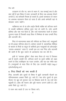उदाहरण के तौर पर, काम के स्थान में, जब सच्चाई क्या है और क्या नहीं है इस विषय में स्पष्ट जानकारी के बिना जब अफवाह फैलने लगती है. तब कर्मचारी निराश हो सकते हैं। इससे कामकाज के स्थान पर अस्वस्थ वातावरण तैयार हो जाता है और अच्छे कर्मचारी वहां से छोड़कर जाना चाहेंगे।

व्यक्तिगत रूप से या ऑन लाईन किसी व्यक्ति को लज्जित करने से उसकी व्यक्तिगत प्रतिष्ठा तुरंत नष्ट हो जाती है। लोग अपनी प्रतिष्ठा और यश गवां बैठते हैं. और उन्हें भावनात्मक सदमे से होकर गुजरना पडता है जिसकी वजह किस ने निर्ममता के साथ उनकी निंदा और बदनामी की।

निंदा के भावनात्मक प्रभाव की गंभीरता का विचार करें, नवयुवकों पर भी इसका परिणाम होता है। वर्तमान समयों में, साामाजिक मीडिया के माध्यम से मित्रों या स्कूल के साथियों द्वारा नवयुवकों को ऑनलाईन "डराया-धमकाया" जाता है, उनकी इस हद तक निंदा और बदनामी की जाती है कि कूछ जवान तो आत्महत्या तक कर लेते हैं।

इसी से "सायबर बुलिंग" जैसा शब्द तैयार हो गया है जिसका अर्थ है सताने, धमकी देने, लज्जित करने या दूसरे व्यक्ति को लक्ष्य बनाने के लिए तंत्रविज्ञान का गलत उपयोग, और यह एक गंभीर बात है। [नवयुवकों के माता पिता के लिए एक उपयोगी साईट: http:// cyberbullying.us/].

# 4 निंदा रिश्तों को नष्ट करती है

निंदा, बदनामी और दूसरों के विषय में झूठी जानकारी फैलाने का परिणामस्वरूप अक्सर रिश्ते टूट जाते हैं। जब लोग दूसरों के द्वारा फैलाए गए झूठ को सुनकर उस पर विश्वास करते हैं, तब उन्हें चोट पहुंचती है। क्रोध की भावना और बूरी भावना उत्पन्न होती है। और अच्छे रिश्ते टूट जाते हैं।

ये वचन क्या बताते हैं उस पर विचार करें।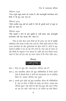निंदा के नकारात्मक परिणाम

नीतिवचन 16:28

28टेढ़ा मनुष्य बहुत झगड़े को उठाता है, और कानाफूसी करनेवाला परम मित्रों में भी फूट करा देता है।

नीतिवचन 25:23

<sup>23</sup>जैसे उत्तरीय वायु वर्षा को लाती है, वैसे ही चुगली करने से मुख पर क्रोध छा जाता है।

नीतिवचन 26:20

<sup>2</sup>जैसे लकड़ी न होने से आग बुझती है, उसी प्रकार जहां कानाफूसी करनेवाला नहीं वहां झगड़ा मिट जाता है।

निंदा के छोटे बीज उत्तम मित्रों को भी अलग कर देते हैं क्योंकि अविश्वास और कलह के बीज बोए जाते हैं। रिश्ते बर्बाद होते हैं। निंदा गलत भावनाओं को और दुर्भावनाओं को ईंधन देती है। लोगों में फूट पड़ती हैं क्योंकि वे एक का पक्ष लेने लगते हैं। ऐसा काम के स्थान पर और किसी भी समुदाय में हो सकता है। शांति और मेल मिलाप बनाए रखने के लिए हमें इस बात का ध्यान रखना है कि निंदा रोकी जाए।



- प्रश्न 1. निंदा के कुछ और नकारात्मक परिणाम क्या हैं?
- प्रश्न 2. क्या वास्तविक जीवन की कुछ परिस्थितियां हैं जिन्हें आपने देखा है जिसमें निंदा ने लोगों को भावनात्मक रूप से प्रभावित किया है? उसका परिणाम क्या हुआ?
- प्रश्न 3. आपके द्वारा देखी गई कूछ वास्तविक जीवन की परिस्थितियां हैं, जहां पर निंदा ने रिश्तों को बर्बाद कर दिया। उसका क्या परिणाम हुआ? क्या लोगों के बीच मेल हुआ और क्या वे निंदा का अंत कर सके? यदि ऐसा है, तो उन्होंने यह कैसे किया?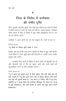### $\blacktriangle$

# निंदा के विरोध में परमेश्वर की गंभीर दृष्टि

निंदा, चुगली, बदनामी, बुराई, पीठ पीछे छूरा भोंकना इन बातों के विषय में पवित्र शास्त्र में हमने जो पहले ही देखा है, उसके अलावा, परमेश्वर पवित्र शास्त्र में निंदा के विषय में कुछ गंभीर झिड़कियां देता है, उन पर हम विचार करेंगे।

परमेश्वर ने अपने लोगों को जो दस आज्ञाएं दीं, उनमें से एक है:

निर्गमन 20:16 16तू किसी के विरूद्ध झूठी साक्षी ने देना।

इसका अर्थ यह है कि आप अपने पड़ोसी के विषय में झूठ नहीं बोलेंगे, उनके विषय में गलत झूठी बातें नहीं फैलाएंगे या उनकी गलत तस्वीर प्रस्तुत नहीं करेंगे।

परमेश्वर निंदा करने के विरोध में अपने लोगों को झिडकी देता है और चेतावनी देता है कि वह सुधार लाने और सारी बातों को सूव्यवस्थित करने के लिए हस्तक्षेप करेगा।

भजन 50:19-21

19तू ने अपना मुंह बुराई करने के लिये खोला, और तेरी जीभ छल की बातें गढ़ती हैं। <sup>20</sup>तू बैठा हुआ अपने भाई के विरुद्ध बोलता; और अपने सगे भाई की चुगली खाता है। <sup>21</sup>यह काम तू ने किया, और मैं चुप रहा; इसलिये तू ने समझ लिया कि परमेश्वर बिलकुल मेरे समान है। परन्तु मैं तूझे समझाऊंगा, और तेरी आंखों के सामने सब कूछ अलग अलग दिखाऊंगा।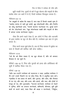निंदा के विरोध में परमेश्वर की गंभीर दृष्टि

झठी गवाही देना, दुसरों के बारे में झूठ बोलना और भाइयों के बीच मतभेद बोना उन बातों में से हैं, जिन्हें परमेश्वर तिरस्कृत मानता है।

नीतिवचन 6:6-19

16छः वस्तुओं से यहोवा बैर रखता है, वरन सात हैं जिनसे उसको घृणा है: 17अर्थात घमण्ड से चढी हुई आंखें, झूठ बोलनेवाली जीभ, और निर्दोष का लोहू बहानेवाले हाथ, 18अनर्थ कल्पना गढ़नेवाला मन, बुराई करने को वेग दौडनेवाले पाव, "झूठ बोलनेवाला साक्षी और भाइयों के बीच में झगडा उत्पन्न करनेवाला मनुष्य।

जैसा कि हमने पहले देखा है. हम लोगों में निंदा और बदनामी के द्वारा मतभेद या फूट के बीज बोते हैं। परमेश्वर इस बात से घृणा करता है।

निंदा करने वाला मूर्ख होता है। तब तो निंदा वास्तव में मूर्खता का काम है जिसमें हमें शामिल नहीं होना चाहिए।

नीतिवचन 10:18 18जो बैर को छिपा रखता है, वह झूठ बोलता है, और जो अपवाद फैलाता है, वह मूर्ख है।

रोमियों 1:28–32 में, निंदा और चुगली को हत्या और अनैतिकता की सूची में शामिल किया गया है।

रोमियों 1:28-32

<sup>28</sup>और जब उन्होंने परमेश्वर को पहचानना न चाहा. इसलिए परमेश्वर ने भी उन्हें उनके निकम्मे मन पर छोड़ दिया, कि वे अनुचित काम करें। <sup>29</sup>इसलिए वे सब प्रकार के अधर्म, और दुष्टता, और लोभ, और बैरभाव से भर गए; और डाह, और हत्या, और झगड़े, और छल, और ईर्ष्या से भरपूर हो गए, और चुगलखोर, <sup>30</sup>बदनाम करनेवाले, परमेश्वर के देखने में घणित, औरों का अनादर करनेवाले, अभिमानी, डींगमार, बरी बरी बातों के बनाने वाले, माता पिता की आज्ञा न माननेवाले, <sup>31</sup>निर्बुध्द,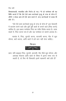विश्वासघाती. मयारहित और निर्दय हो गए। <sup>32</sup>वे तो परमेश्वर की यह विधि जानते हैं कि ऐसे ऐसे काम करनेवाले मृत्यु के दण्ड के योग्य हैं, तौभी न केवल आप ही ऐसे काम करते हैं. वरन करनेवालों से प्रसन्न भी होते हैं।

"ऐसे ऐसे काम करनेवाले मृत्यु के दण्ड के योग्य है" इस चेतावनी में बदनाम करने वाले और बूरी बुरी बातों के बनाने वाले (निंदा करने) शामिल है। इस प्रकार परमेश्वर निंदा का गंभीर विरोध करता है। साफ शब्दों में, निंदा करना पाप है और यह परमेश्वर के सामने अपराध है।

सारांश में, निंदा, चुगली करना, बदनामी करना, पीठ में छूरा भोंपना. बातें बनाना, आदि बातों में हमें भाग नहीं लेना चाहिए।



प्रश्नः यदि बाइबल निंदा, चुगली, बदनामी, पीठ पीछे छूरा भोंपना, और अफवाह फैलाना आदि बातों के विषय में इतना स्पष्ट रूप से कहती है, तो फिर भी विश्वासी इसमें सहभागी क्यों होते हैं?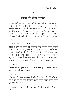### 5

# निंदा से कैसे निपटे

जब हम ऐसी परिस्थिति में पड जाते हैं, जहां हमारे आस पास के लोग निंदा करने लगते हैं, बदनामी करने लगते हैं, चुगली करते हैं, और अफवाह फैलाते हैं, तब हमें क्या करना चाहिए? यदि हम ऐसी बातों का शिकार बनते हैं, तब हमें क्या करना चाहिए? हमें बदनामी, भावनात्मक चोट और हमारे बारे में फैलाई गई झुठी जानकारी के अन्य परिणामों के प्रति कैसे प्रतिक्रिया व्यक्त करना चाहिए. और उनसे कैसे निपटना चाहिए?

## अ. निंदा के ऊपर उठना

आरंभ में, हममें से प्रत्येक को व्यक्तिगत रीति से एक पक्का फैसला करना है और हमारे अनुशासन के भाग के रूप में हमें यह निर्णय लेना है कि हम किसी भी रीति से किसी की निंदा में भाग नहीं लेंगे। हम इस प्रकार के वार्तालाप और कार्य के निचले स्तर पर नहीं उतरेंगे। जब हम खुद को ऐसे स्थानों में और परिस्थितियों में पाते हैं जहां पर लोग निंदा करते हैं, तो हम उनमें भाग नहीं लेंगे और निंदा में शामिल नहीं होंगे।

भजन 34:13 13अपनी जीभ को बुराई से रोक रख, और अपने मुंह की चौकसी कर कि उस से छल की बात न निकले।

भजन 39:1 'मैंने कहा, मैं अपनी चालचलन में चौकसी करुंगा, ताकि मेरी जीभ से पाप न हो; जब तक दुष्ट मेरे सामने है, तब तक मैं लगाम लगाए अपना मुह बन्द किए रहगा।

4हे यहोवा, मेरे मुंह में ऐसी कोई बात नहीं जिसे तु पुरी रीति से न जानता हो।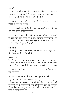हम खुद को रोकेंगे और परमेश्वर के विरोध में पाप करने से इन्कार करेंगे। हम जानते हैं कि हम परमेश्वर से निंदा छिपा नहीं सकते. भले ही हमें धीमें शब्दों में उसे बोलना हो।

जो बात आप किसी के सामने नहीं बोलना चाहते. उसे उस व्यक्ति के पीत पीछे न बोलें।

आप उनकी अनुपरिथति में वह बात कैसे कहेंगे, ठीक उसी तरह आप उसे उनकी उपस्थिति में कहें।

अपने हृदय को किसी के प्रति स्वच्छ और दुर्भावना एवं नाराज़गी से मुक्त बनाए रखें। हमेशा प्रेम के साथ चलने का उद्देश्य रखें। इस तरह आप उन्हें नीचा दिखाने, चोट पहुंचाने और बर्बाद करने के लिए लोगों के विषय में बूरा नहीं बोलेंगे।

मत्ती 15:19 <sup>19</sup>क्योंकि बुरे विचार, हत्या, परस्त्रीगमन, व्यभिचार, चोरी, झूठी गवाही और निन्दा मन ही से निकलती हैं।

रोमियों 13:9 °क्योंकि यह कि व्यभिचार न करना, हत्या न करना, चोरी न करना, लालच न करना, और इनको छोड़ और कोई भी आज्ञा हो तो सब का सारांश इस बात में पाया जाता है कि अपने पड़ोसी से अपने समान प्रेम रख।

बदला लेने से इन्कार करें। आप निंदा फैलाने से निंदा पर जय नहीं पा सकते।

### ब. यदि संभव हो तो प्रेम के साथ मुकाबला करें

जहां संभव हो, जिस व्यक्ति ने अफवाह और झूठी जानकारी फैलाई, उस व्यक्ति के साथ या उन लोगों के साथ जो निंदा में शामिल थे. उस मामले को स्पष्ट रूप से संबोधित करें। उन्हें इससे ऊपर उठने हेतू प्रोत्साहन दें और निंदा न करते हुए उसमें शामिल व्यक्ति के साथ सीधे वास्तविक विषय के संबंध में बात करें।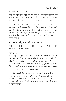# कुलसे मिट जाने दें

निंदा को ईंधन न दें। निंदा को मिट जाने दें। ऐसी परिस्थितियों में कम से कम बोलना बेहतर है। जब ज्यादा से ज्यादा लोग उसमें भाग लेने से इन्कार करेंगे. तो अंत में वह कहानी समाप्त हो जाएगी।

संभव होने पर. संबंधित व्यक्ति या परिस्थिति के विषय में सकारात्मक बातें बोलकर निंदा का विरोध करने का फैसला करें। वस्तुओं के बेहतर पक्ष को देखने में लोगों की सहायता करें। निंदा और अफवाहें अर्ध सत्य, अधूरी जानकारी या झुठी जानकारी पर आधारित होते हैं इसलिए बेहतर बातें कहकर, हम उन अधूरी सच्चाइयों का विरोध करते हैं।

# ड. प्रार्थना करें. क्षमा करें और छोड द

यदि आप निंदा या बदनामी का शिकार बनें हैं, तो प्रार्थना करें। प्रभू आपके बचाव में आगे आएगा

### भजन 31:13-16

<sup>13</sup>मैं ने बहतों के मुह से अपना अपवाद सूना, चारों ओर भय ही भय है! जब उन्होंने मेरे विरुद्ध आपस में सम्मति की तब मेरे प्राण लेने की युक्ति की। "परन्तू हे यहोवा मैं ने तो तूझी पर भरोसा रखा है, मैं ने कहा, तू मेरा परमेश्वर है। <sup>15</sup>मेरे दिन तेरे हाथ में है; तू मुझे मेरे शत्रुओं और मेरे सतानेवालों के हाथ से छुड़ा। "अपने दास पर अपने मुंह का प्रकाश चमका: अपनी करुणा से मेरा उद्घार कर।

जब लोग आपकी निंदा करते हैं और आपके विषय में झुठी अफवाहें फैलाते हैं, तो उससे चोट पहुंचती है। यह पीड़ादायक होता है। अपने दर्द और चोट की भावनाओं को प्रार्थना में परमेश्वर के सामने रखें। उस विषय में परमेश्वर से बातें करें। अपने हृदय और भावनाओं को परमेश्वर के सामने उण्डेलें।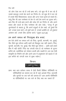जो लोग ऐसा कर रहे हैं उन्हें क्षमा करें। जो कुछ भी वे कर रहे हैं उसके बावजूद उनसे प्रेम करने का निर्णय लें। जो कूछ भी वे कर रहे हैं उसके पीछे विश्वासघात, बदला और अन्य गलत इरादे हो सकते हैं। परंतु फिर भी आप परमेश्वर के प्रेम से उन्हें प्रेम करने का चुनाव करें। आप फिर भी उन्हें क्षमा करने और छोड़ देने का निर्णय लें, और अपने बचाव और बदले के लिए परमेश्वर की ओर देखें। "परन्तू मैं तूम सूननेवालों से कहता हूं, कि अपने शत्रुओं से प्रेम रखो; जो तुमसे बैर करें, उनका भला करो। जो तुम्हें श्राप दें, उनको आशीष दो; जो तुम्हारा अपमान करें, उनके लिए प्रार्थना करो।" (लुका 6:27,28)

# हम अपने समाज को निंदामुक्त क्षेत्र बनाएं

हम ऐसे लोगों का समाज बनें जो निंदा, चुगली, बदनामी, गप, बुराई, पीठ पीछे छूरा भोंपना आदि बातों को बिल्कूल सह नहीं सकते। निंदा, चुगली, बदनामी, गप, बुराई, पीठ पीछे छूरा भोंपना – आदि बातें हमारे बीच में नहीं रहेगी! निंदा वह जंगली घास है जो परमेश्वर के सुन्दर बगीचे को, कलीसिया को परेशान करती और दबाती है। हम एक ऐसी संस्कृति का निर्माण करें और अपने आप में अनुशासन को बढ़ावा दें जो इस बगीचे को जंगली घास से मुक्त रखेगा।



प्रश्नः क्या आप वर्तमान समय में ऐसी किसी विशिष्ट परिस्थिति या परिस्थितियों का सामना कर रहे हैं जहां आपको निंदा, बदनामी और चुगली पर जय पाने की ज़रूरत है? आप अपनी परिस्थिति या परिस्थितियों पर जय पाने के लिए क्या कर सकते हैं?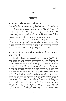# पार्थना

# 1 अंगीकार और पश्चाताप की पार्थना

प्रिय स्वर्गीय पिता, मैं कबूल करता हूं कि मैं मेरे शब्दों के विषय में सावध गन नहीं रहा। मैंने जानबूझकर और अनजाने में निंदा की है, बदनामी की है और दूसरों की बुराई की है। मैं अफवाहों को फैलाकर लोगों की प्रतिष्ठा को नुकसान पहुंचाने का दोषी हूं। मैं मेरे गलत कामों के लिए पश्चाताप करता हूं और आपसे बिनती करता हूं कि कृपया मुझे क्षमा करें और अपने पवित्र लोहू से मुझे मेरे पापों से शुद्ध करें। मैं निंदा की जीवनशैली त्यागता हूं। उसी तरह, मेरी जीभ पर पहरा लगाइये ताकि मैं आगे दूसरों की निंदा, बदनामी या बूराई न कर सकूं। ऐसा करने के लिए मैं आपका धन्यवाद करता हूं। यीशु के नाम में, आमेन।

# 2. उन लोगों के लिए प्रार्थना जिन्होंने अतीत में निंदा से चोट खाई है

प्रिय पिता, मैं अपना हृदय आपके सामने उण्डेलता हूं क्योंकि मेरे लिए आपके प्रेम और निगरानी को मैं जानता हूं। आप मेरे हृदय की अंतर्तम विचारों और भावनाओं को जानता हूं। आप जानते हैं कि (लोगों का नाम और परिस्थिति) द्वारा की गई मुझे निंदा, बदनामी और मेरे बारे में फैली हुई अफवाहों की वजह से मैं दुखी हो गया हूं। मैं अपने घाव और भावनाओं को आपके पास ले आता हूं और आपसे बिनती करता हूं कि मेरे दुखों को चंगा कीजिए। पवित्र आत्मा की सामर्थ और बल से जो वह प्रेम करने हेतु मुझे देता है, मैं उन लोगों को क्षमा करता हूं जिन्होंने मुझे चोट पहुंचाई है। मैं परमेश्वर के प्रेम को उनके लिए मुक्त करता हूं जो मेरे हृदय में उण्डेला गया है। मैं आपसे बिनती करता हूं कि मेरे पक्ष में दैवीय रूप से हस्तक्षेप करें और इन अफवाहों, निंदा और झूठी बातों को रोक दें और मुझे अपने अनुग्रह से घेर लीजिए। मुझे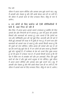जीवन में आदर प्रदान कीजिए और आपका हाथ मूझे उठाने पाए। प्रभू, मैं आपकी ओर देखता हूं और मेरी आंखें केवल आप ही पर लगी हैं। मेरे जीवन में आपके काम के लिए धन्यवाद पिता। यीशू के नाम में, आमेन ।

# 3. उन लोगों के लिए प्रार्थना जो ऐसी परिस्थितियों में फंसे हैं जहां निंदा हो रही है

प्रिय पिता, मैं अपना हृदय आपके सामने उण्डेलता हूं क्योंकि मेरे लिए आपके प्रेम और निगरानी को मैं जानता हूं। आप मेरे हृदय की अंतर्तम विचारों और भावनाओं को जानता हूं। आप जानते हैं कि (लोगों का नाम और परिस्थिति) द्वारा की गई मुझे निंदा, बदनामी और मेरे बारे में फैली हुई अफवाहों की वजह से मैं दुखी हो गया हूं। मैं अपने घाव और भावनाओं को आपके पास ले आता हूं और आपसे बिनती करता हूं कि मेरे दुखों को चंगा कीजिए। पवित्र आत्मा की सामर्थ और बल से जो वह प्रेम करने हेतू मूझे देता है, मैं उन लोगों को क्षमा करता हूं जिन्होंने मुझे चोट पहुंचाई है। मैं परमेश्वर के प्रेम को उनके लिए मुक्त करता हूं जो मेरे हृदय में उण्डेला गया है। मैं आपसे बिनती करता हूं कि मेरे पक्ष में देवीय रूप से हस्तक्षेप करें और इन अफवाहों, निंदा और झूठी बातों को रोक दें और मुझे अपने अनुग्रह से घेर लीजिए। मुझे जीवन में आदर प्रदान कीजिए और आपका हाथ मुझे उठाने पाए। प्रभु, मैं आपकी ओर देखता हूं और मेरी आंखें केवल आप ही पर लगी हैं। मेरे जीवन में आपके काम के लिए धन्यवाद पिता। यीशू के नाम में, आमेन।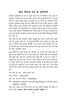# ऑल पीपल्स चर्च के प्रतिभागी

स्थानीय कलीसिया के रूप में संपूर्ण भारत देश में, विशेषकर उत्तर भारत में सुसमाचार प्रचार करने के द्वारा ऑल पीपल्स चर्च अपनी सीमाओं के पार सेवा करता है; उसका मुख्य लक्ष्य (अ) अगूवों को दृढ़ करना, (ब) जवानों को सेवा के लिए सूसज्जित करना और (क) मसीह की देह की उन्नति करना है। संपूर्ण वर्षभर जवानों, और पासबानों तथा सेवकों के लिए कई प्रशिक्षण कार्यक्रमों और पासबानों की महासभाओं का आयोजन किया जाता है। इसके अलावा, वचन में और आत्मा में विश्वासियों की उन्नति करने के उददेश्य से अंग्रेजी तथा अन्य कई भारतीय भाषाओं में पुस्तकों की कई हजारों प्रतियां विनामुल्य वितरीत की जाती हैं।

जिन बातों की ओर परमेश्वर हमारी अगुवाई कर रहा है उसके लिए काफी पैसों की जरूरत होती है। हम आपको निमंत्रित करते हैं कि एक समय की भेंट या मासिक मदद भेजकर आर्थिक रूप से हमारे साथ भागीदार बनें। देश भर में हमारे इस कार्य में हमारी सहायता करने हेतू आपके द्वारा भेजी गई कोई भी रकम सराहनीय होगी।

आप अपनी भेंट "ऑल पीपल्स चर्च, बैंगलोर" के नाम से चेक / बैंक ड्राफ्ट के जरिए हमारे ऑफिस के पते पर भेज सकते हैं। अन्यथा आप अपना योगदान सीधे हमारे बैंक खाते की जानकारी लेकर सीधे बैंक में जमा कर सकते हैं। (कृपया इस बात को ध्यान में रखें : ऑल पीपल्स चर्च के पास एफ.सी.आर. ए. परमीट नहीं है. अतः हम केवल भारतीय नागरिकों से बैंक योगदान पा सकते हैं। यदि आप चाहते हैं, तो दान भेजते समय, आप स्पष्ट रूप से यह लिख सकते हैं कि ए.पी.सी. की किस सेवकाई के लिए आप अपने दान भेजना चाहते हैं ।)

बैंक खाते का नाम  $\cdot$  ऑल पीपल्स चर्च

खाता क्रमांक : 0057213809

- आय एफ एस सी क्रमांक : CIT10000004
- बैंक: Citibank N.A., 506-507, Level 5, Prestige Meridian 2, #30, M.G. Road, Bangalore - 560 001

उसी तरह, कृपया जब भी हो सके, हमें और हमारी सेवकाई को प्रार्थना में स्मरण रखें। धन्यवाद और परमेश्वर आपको आशीष दे।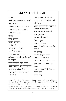# ऑल पीपल्स चर्च के प्रकाशन

बदलाव अपनी बुलाहट से समझौता न करें आशा न छोड़ें परमेश्वर के उद्देश्यों को जन्म देना परमेश्वर एक भला परमेश्वर है परमेश्वर का वचन सच्चाई हमारा छुटकारा समर्पण की सामर्थ हम भिन्न हैं कार्यस्थल पर महिलाएं जागति में कलीसिया प्रत्येक काम का एक समय आत्मिक मन से परिपूर्ण और पृथ्वी पर बुद्धिमान पवित्रा लोगों को सिद्ध बनाना अपने पास्टर की कैसे सहायता करें कलह रहित जीवन जीना एक वास्तविक स्थान जो स्वर्ग कहलाता है

परिशद्ध करने वाले की आग व्यक्तिगत और पीढ़ियों के बन्ध्नों को तोडना आपके जीवन के लिए परमेश्वर के उददेश्य को पहचानना राज्य का निर्माण करने वाले खला हुआ स्वर्ग हम मसीह में कौन हैं ईश्वरीय कृपा परमेश्वर का राज्य शहरव्यापी कलीसिया में ईश्वरीय व्यवस्था मन की जीत जड पर कूल्हाडी रखना परमेश्वर की उपस्थिति काम के प्रति बाइबल का रवैया ज्ञान, प्रकाश और सामर्थ का आत्मा अन्य अन्य भाषाओं में बोलने के अदभुत लाभ प्राचीन चिन्ह

उपर्युक्त सभी पुस्तकों के पी डी एफ संस्करण निःशुल्क डाऊनलोड के लिए हमारे चर्च वेब साईट पर उपलब्ध हैं। इनमें से कई पुस्तकें अन्य भाषाओं में भी उपलब्ध हैं। इन पुस्तकों की निःशुल्क प्रतियां प्राप्त करने हेतू कृपया हमसे ई—मेल या डाक द्वारा संपर्क करें।

रविवार के संदेश के एम पी 3 ऑडियो रिकार्डिंग, तथा कॉन्फ्रन्स और हमारे गॉड टी. व्ही. कार्यक्रम 'लिविंग स्ट्रांग' के विडियो रिकार्डिंग को सूनने या देखने के लिए हमारे वेब साईट को भेंट दें।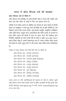# भारत में ऑल पीपल्स चर्च की शाखाएं

# ऑल पीपल्स चर्च के विषय में

ऑल पीपल्स चर्च (एपीसी) का दर्शन बैंगलोर शहर में नमक और ज्योति, और भारत देश और संसार के राष्ट्रों के लिए एक आवाज बनना है।

एपीसी में हम पवित्र आत्मा के अभिषेक एवं सामर्थ्य के साथ संपूर्ण एवं किसी प्रकार का समझौता न करते हुए वचन की शिक्षा देने के प्रति समर्पित हैं। हम विश्वास करते हैं कि उत्तम संगीत, सुजनात्मक प्रस्तुति, आधुनिक तंत्रविज्ञान आदि आदि चिन्ह, अदभुत कार्य, आश्चर्यकर्म और पवित्र आत्मा के वरदानों के साथ पवित्र आत्मा की सामर्थ में वचन का प्रचार करने की परमेश्वर द्वारा निर्धारित पद्धतियों का स्थान कभी नहीं ले सकते (1 कूरि. 2:4,5; इब्रा. 2:3,4)। हमारा विषय यीशू है, हमारी विषयवस्तू वचन है, हमारा तरीका पवित्र आत्मा की सामर्थ है, हमारा जुनून लोग हैं, और हमारा लक्ष्य मसीह समान पविपक्वता है।

```
वर्तमान में ऑल पीपल्स चर्च नीचे दिये पतों पर स्थित हैं।
ऑल पीपल्स चर्च -बंगलौर (कर्नाटक)
ऑल पीपल्स चर्च –मंगलौर (कर्नाटक)
ऑल पीपल्स चर्च –कल्याण मुम्बई (महाराष्ट्र)
ऑल पीपल्स चर्च -ब्रम्हपुर (उडीसा)
ऑल पीपल्स चर्च -नागपुर (महाराष्ट्र)
ऑल पीपल्स चर्च -रायचूर (कर्नाटक)
ऑल पीपल्स चर्च -पुणे (महाराष्ट्र)
```
ऑल पीपल्स चर्च -दिमापुर (नागालैंड)

```
ऑल पीपल्स चर्च -कोहिमा (नागालैंड)
```
समय-समय पर नयी कलीसियाओं की स्थापना हो रही है। वर्तमान सूची ऑल पीपल्स चर्च के साथ सम्पर्क करने या अध्कि जानकारी के लिए कृपया आप हमारी वेबसाइट www.apcwo.org में जायें, अथवा contact@apcwo.org पर ई-मेल भेजें।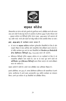

# बाइबल कॉलेज

विश्वसनीय एवं योग्य स्त्री और पूरुषों को सूसज्जित करने, प्रशिक्षित करने और भारत तथा अन्य देशों में सेवा हेतु भेजने के उद्देश्य से ऑगस्ट 2005 में ऑल पीपल्स चर्च – बाइबल कॉलेज एवं मिनिस्ट्री ट्रेनिंग सेन्टर (APC - BC& MTC) की स्थापना की गई, ताकि गांवों, नगरों और शहरों को यीशू मसीह के लिए प्रभावित किया जा सके।

APC - BC& MTC दो कार्यक्रम प्रदान करता है:

- $\blacktriangleright$  दो साल का **बाइबल कॉलेज** कार्यक्रम पूर्णकालीन विद्यार्थियों के लिए है और उत्कृष्ट शिक्षा के साथ आत्मिक और व्यवहारिक सेवा प्रशिक्षण प्रदान करता है। दो वर्षीय कार्यक्रम पूरा करने के बाद विद्यार्थियों को **डिप्लोमा इन थियोलॉजी** ॲण्ड क्रिश्चियन मिनिस्ट्री (Dip. Th.& CM) प्रदान की जाएगी।
- ► प्रेक्टिकल मिनिस्ट्री ट्रेनिंग बाइबल कॉलेज के उन पदवीधरों के लिए है जो व्यवहारिक प्रशिक्षण पाना चाहते हैं। एक या दो साल पूरा करने वालों को सर्टिफिकेट इन प्रेक्टिकल मिनिस्ट्री प्रदान किया जाएगा जो उनके प्रशिक्षण काल को दर्शाता है।

कक्षाएं अंग्रेजी में होती हैं। हमारे पास प्रशिक्षित तथा अभिषक्त शिक्षक हैं।

इसके अतिरिक्त, सन 2012 में, चाम्पा क्रिश्चियन हॉस्पिटल की सहभागिता से हमने चाम्पा, छत्तीसगढ में अपने प्रथम अल्पकालीन (2.5 महीने) कार्यक्रम का संचालन किया। हमने इस कॉलेज से 45 विद्यर्थियों को प्रशिक्षित किया।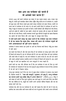# क्या आप उस परमेश्वर को जानते हैं जो आपको प्यार करता है?

लगभग 2000 वर्ष पहले परमेश्वर इस संसार में एक मनृष्य बनकर आए। उनका नाम यीशु है। उन्होंने पूर्ण पापरहित जीवन जीया। चूँकि यीशु मानव रूप में परमेश्वर थे, उन्होंने जो कछ कहा और किया उसके द्वारा हमारे समक्ष परमेश्वर को प्रकट किया। उन्होंने जो वचन कहे वे परमेश्वर के ही वचन थे। जो कार्य उन्होंने किये वे परमेश्वर के कार्य थे। यीश ने बहत से चमत्कार इस पथ्वी पर किये। उन्होंने बीमारों और पीडितों को चंगा किया। अंधों को आंखें दीं, बहिरों के कान खोले, लंगड़ों को चलाया और हर प्रकार की बीमारी और रोग को चंगा किया। उन्होंने चमत्कार करके कुछ रोटियों से बहुतों को खाना खिलाया था। तुफान को शान्त किया और अन्य बहुत से अद्भुत काम किए।

ये सभी कार्य हमारे समक्ष यह प्रकट करते हैं कि परमेश्वर एक भला परमेश्वर है जो यह चाहता कि मनुष्य ठीक, स्वस्थ और प्रसन्न रहें। परमेश्वर मनुष्यों की सभी आवश्यकताओं की पूर्ति करना चाहता है।

परमेश्वर ने मानव बनकर इस पृथ्वी पर आने का निश्चय क्यों किया? यीशु इस संसार में क्यों आए?

हम सबने पाप किया है और ऐसे काम किए हैं जो परमेश्वर के समक्ष ग्रहण योग्य नहीं हैं जिसने हमें बनाया है। पाप के परिणाम होते हैं। पाप एक बडी दीवार की तरह परमेश्वर और हमारे बीच में खड़ी है। पाप हमें परमेश्वर से अलग करता है। वह हमें उसे जानने और उससे अर्थपूर्ण सम्बन्ध स्थापित करने से रोकता है जिसने हमें बनाया है। अत: हममें से बहुत से लोग इस खालीपन को अन्य वस्तुओं से भरना चाहते हैं।

हमारे पापों का एक और परिणाम यह है कि हम परमेश्वर से सदा के लिए दूर रहते हैं। परमेश्वर के न्यायालय में पाप का दण्ड मृत्यु है। मृत्यु परमेश्वर से सदा के लिए अलगाव है जो हमें नर्क में बिताना पडेगा।

परन्तु शुभ समाचार यह है कि हम पाप से मुक्त होकर परमेश्वर से सम्बन्ध रख सकते हैं। बाइबल कहती है, ''पाप की मजदुरी ( भुगतान ) तो मृत्यु है, परन्तु परमेश्वर का वरदान हमारे प्रभु मसीह यीशु में अनन्त जीवन है" (रोमियों 6:23)। यीशु ने सारे संसार के पापों के लिए मूल्य चुकाया जब उसने क्रुस पर अपने प्राण दिये। तब तीसरे दिन वह जीवित हो गए. बहतों को उन्होंने अपने आपको जीवित दिखाया और तब वह वापस स्वर्ग चले गए।

परमेश्वर प्रेम और दया का परमेश्वर है। वह नहीं चाहता कि कोई भी नर्क में नाश हो। इसलिए वह आया ताकि सारी मानव जाति को पाप से छुटकारे और उसके अनन्त परिणामों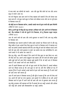से बचा सके। वह पापियों को बचाने- आप और मुझ जैसे लोगों को पाप और अनन्त मृत्यू से बचाने आया था।

पाप की निशुल्क क्षमा प्राप्त करने के लिए बाइबल हमें बताती है कि हमें केवल एक काम करना है–जो कुछ उसने क्रूस पर किया उसे स्वीकार करना और उस पर पूर्ण हृदय से विश्वास करना है।

जो कोई उस पर विश्वास करेगा. उसको उसके नाम के द्वारा पापों की क्षमा मिलेगी (प्रेरितों के काम 10:43)।

यदि तु अपने मुंह से यीशु को प्रभु जानकर अंगीकार करे और अपने मन से विश्वास करे, कि परमेश्वर ने उसे मरे हुओं में से जिलाया, तो तु निश्चय उद्धार पाएगा (रोमियों 10:9)।

आप भी अपने पापों की क्षमा और उनसे छुटकारा पा सकते हैं यदि आप प्रभु मसीह पर विश्वास करें।

निम्नलिखित एक साधरण प्रार्थना है ताकि इससे आपको यह फैसला करने में और प्रभु यीश मसीह के द्वारा आपके लिए किए क्रुस के कार्य पर विश्वास करने में सहायता कर सके। यह प्रार्थना आपकी सहायता करेगी कि आप यीशु के कार्य को स्वीकार करके अपने पापों की क्षमा और उनसे छटकारा पा सकें। यह प्रार्थना मात्र एक मार्गदर्शिका है। आप अपने शब्दों में भी प्रार्थना कर सकते हैं :

प्रिय प्रभु यीशू, आज मैंने समझा है कि आपने मेरे लिए क्रूस पर क्या किया था। आप मेरे लिए मारे गए! आपने अपना बहुमूल्य रक्त बहाया और मेरे पापों की कीमत चुकाई ताकि मझे पापों की क्षमा मिले। बाइबल मझे बताती है कि जो कोई आप में विश्वास करता है उसे उसको पापों की क्षमा मिलती है।

आज मैं आपमें विश्वास करने और जो कछ आपने मेरे लिए किया है. उसको स्वीकार करने का फैसला करता हूँ, कि आप क्रूस पर मारे गए और फिर जीवित हो गए। मैं जानता हँ कि मैं अपने आपको अच्छे कामों के द्वारा नहीं बचा सकता हैं। मैं अपने पापों की क्षमा कमा नहीं सकता हूँ।

आज मैं अपने हृदय में विश्वास करता हूँ और मुँह से कहता हूँ कि आप मेरे लिए मारे गए। आपने मेरे पापों का दण्ड चुकाया। आप मृतकों में से जीवित हो गए और आपमें विश्वास करने के द्वारा मैं अपने पापों की क्षमा और पाप से छुटकारा प्राप्त करता हूँ। प्रभु यीशु धन्यवाद। मेरी सहायता करें कि मैं आपको प्रेम कर सकूँ। आपको और अधिक जान सकूँ और आपके प्रति विश्वासयोग्य रह सकूँ। आमीन!